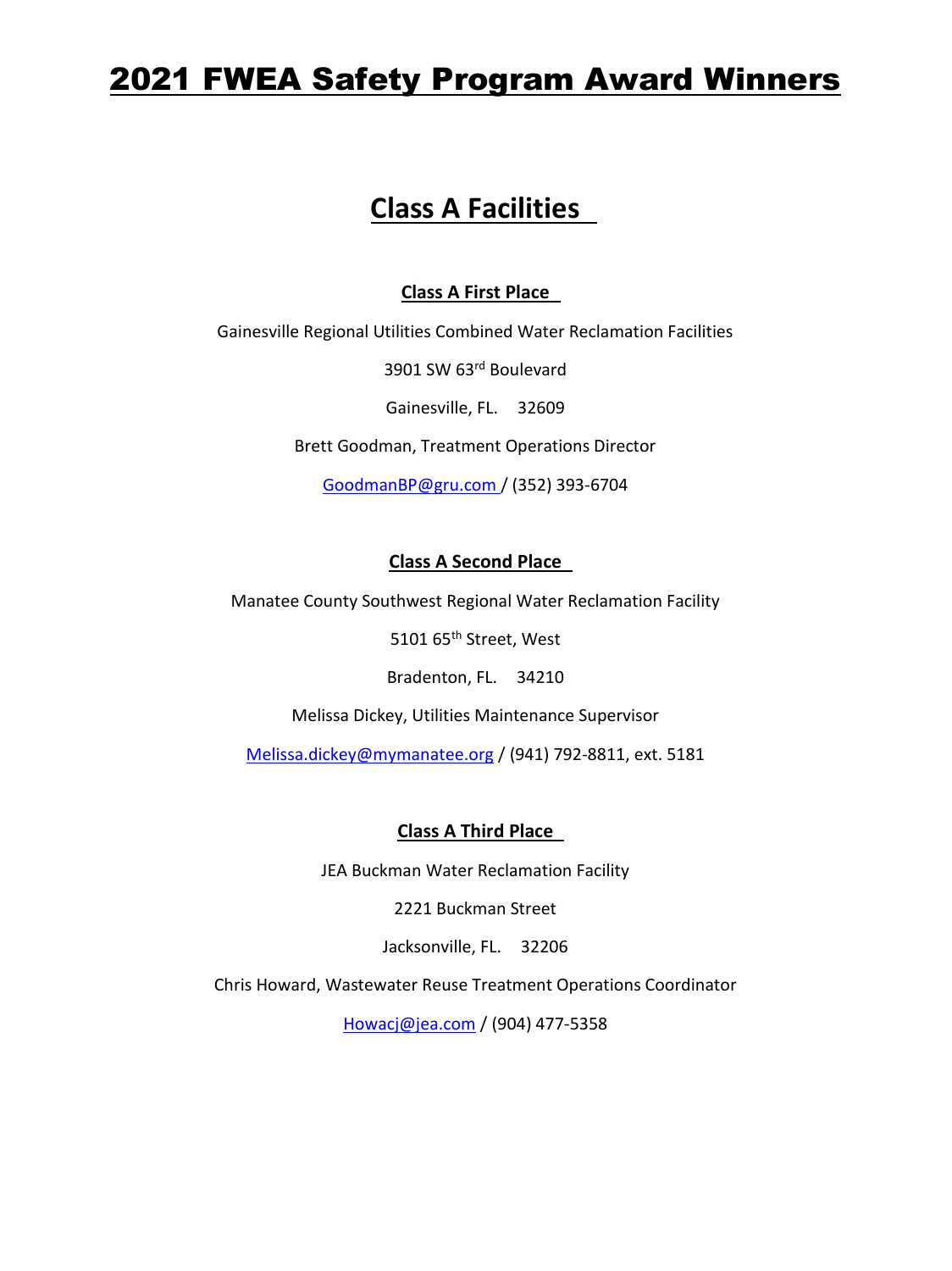# 2021 FWEA Safety Program Award Winners

## **Class A Facilities**

### **Class A First Place**

Gainesville Regional Utilities Combined Water Reclamation Facilities

3901 SW 63rd Boulevard

Gainesville, FL. 32609

Brett Goodman, Treatment Operations Director

GoodmanBP@gru.com / (352) 393-6704

### **Class A Second Place**

Manatee County Southwest Regional Water Reclamation Facility

5101 65<sup>th</sup> Street, West

Bradenton, FL. 34210

Melissa Dickey, Utilities Maintenance Supervisor

Melissa.dickey@mymanatee.org / (941) 792-8811, ext. 5181

**Class A Third Place** 

JEA Buckman Water Reclamation Facility

2221 Buckman Street

Jacksonville, FL. 32206

Chris Howard, Wastewater Reuse Treatment Operations Coordinator

[Howacj@jea.com](mailto:Howacj@jea.com) / (904) 477-5358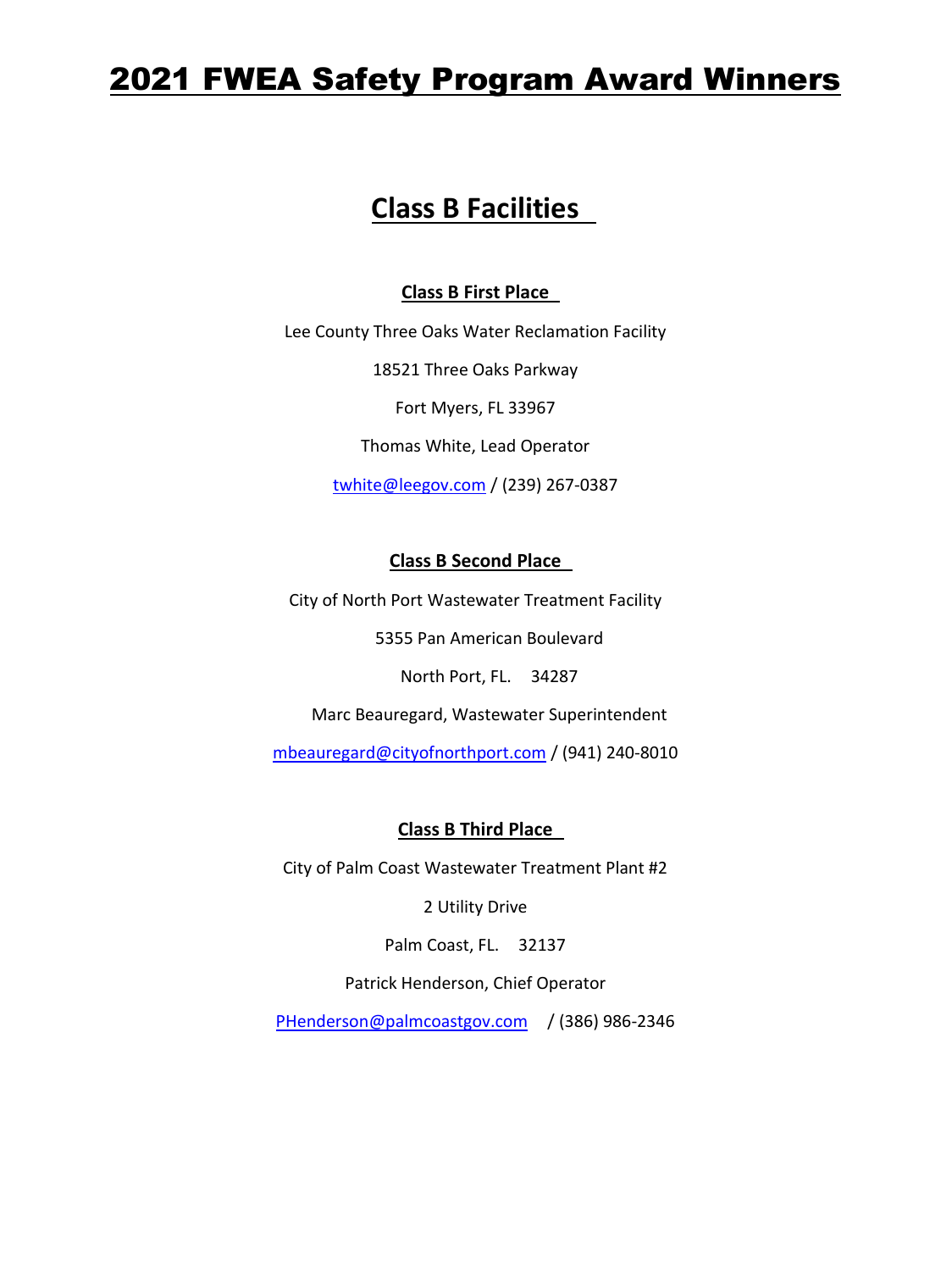# 2021 FWEA Safety Program Award Winners

## **Class B Facilities**

#### **Class B First Place**

Lee County Three Oaks Water Reclamation Facility

18521 Three Oaks Parkway

Fort Myers, FL 33967

Thomas White, Lead Operator

twhite@leegov.com / (239) 267-0387

#### **Class B Second Place**

City of North Port Wastewater Treatment Facility

5355 Pan American Boulevard

North Port, FL. 34287

Marc Beauregard, Wastewater Superintendent

[mbeauregard@cityofnorthport.com](mailto:mbeauregard@cityofnorthport.com) / (941) 240-8010

#### **Class B Third Place**

City of Palm Coast Wastewater Treatment Plant #2

2 Utility Drive

Palm Coast, FL. 32137

Patrick Henderson, Chief Operator

[PHenderson@palmcoastgov.com](mailto:PHenderson@palmcoastgov.com) / (386) 986-2346